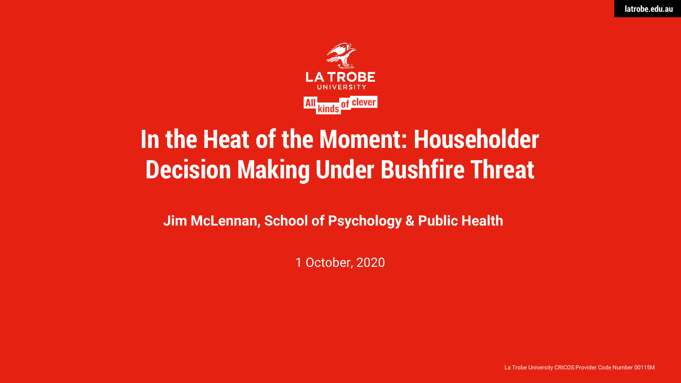

## **In the Heat of the Moment: Householder Decision Making Under Bushfire Threat**

**Jim McLennan, School of Psychology & Public Health**

1 October, 2020

La Trobe University CRICOS Provider Code Number 00115M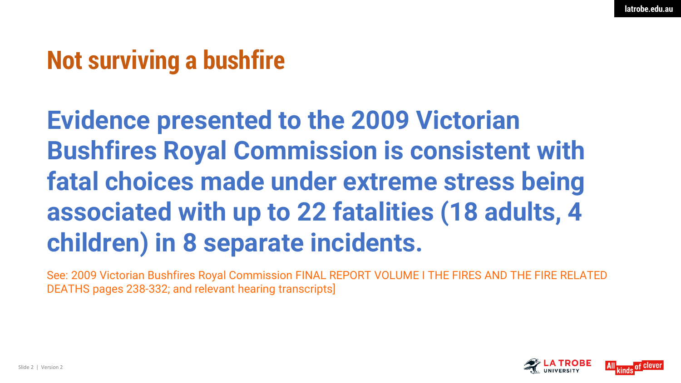## **Not surviving a bushfire**

**Evidence presented to the 2009 Victorian Bushfires Royal Commission is consistent with fatal choices made under extreme stress being associated with up to 22 fatalities (18 adults, 4 children) in 8 separate incidents.** 

See: 2009 Victorian Bushfires Royal Commission FINAL REPORT VOLUME I THE FIRES AND THE FIRE RELATED DEATHS pages 238-332; and relevant hearing transcripts]

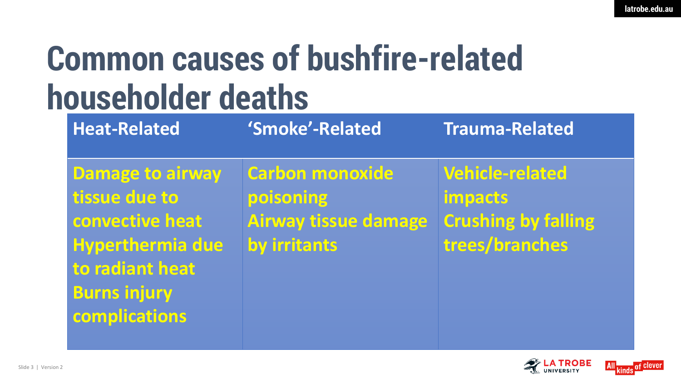# **Common causes of bushfire-related householder deaths**

| <b>Heat-Related</b>                                                                                                                               | 'Smoke'-Related                                                                    | <b>Trauma-Related</b>                                                                    |
|---------------------------------------------------------------------------------------------------------------------------------------------------|------------------------------------------------------------------------------------|------------------------------------------------------------------------------------------|
| <b>Damage to airway</b><br>tissue due to<br>convective heat<br><b>Hyperthermia due</b><br>to radiant heat<br><b>Burns injury</b><br>complications | <b>Carbon monoxide</b><br>poisoning<br><b>Airway tissue damage</b><br>by irritants | <b>Vehicle-related</b><br><b>impacts</b><br><b>Crushing by falling</b><br>trees/branches |
|                                                                                                                                                   |                                                                                    |                                                                                          |



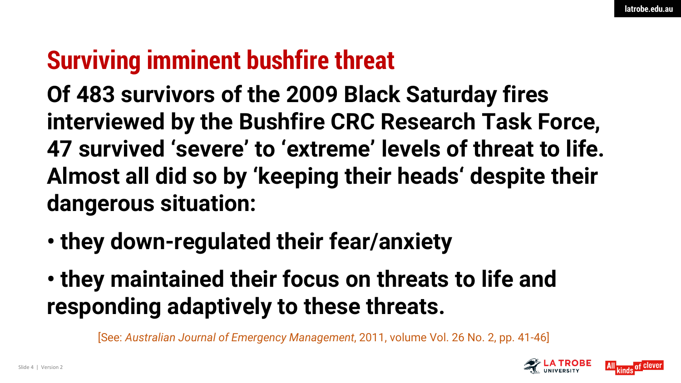## **Surviving imminent bushfire threat**

**Of 483 survivors of the 2009 Black Saturday fires interviewed by the Bushfire CRC Research Task Force, 47 survived 'severe' to 'extreme' levels of threat to life. Almost all did so by 'keeping their heads' despite their dangerous situation:** 

- **they down-regulated their fear/anxiety**
- **they maintained their focus on threats to life and responding adaptively to these threats.**

[See: *Australian Journal of Emergency Management*, 2011, volume Vol. 26 No. 2, pp. 41-46]

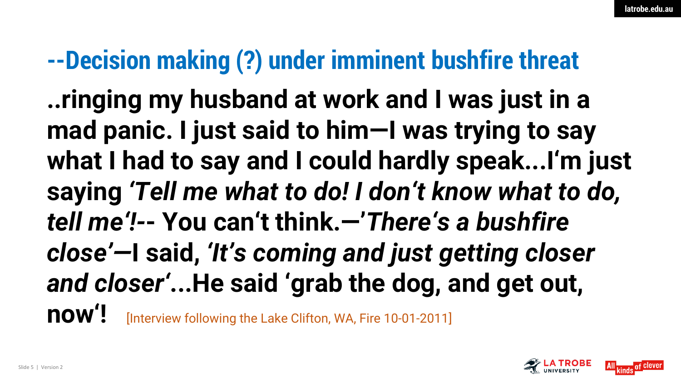## **--Decision making (?) under imminent bushfire threat**

**..ringing my husband at work and I was just in a mad panic. I just said to him—I was trying to say what I had to say and I could hardly speak...I'm just saying** *'Tell me what to do! I don't know what to do, tell me'!-***- You can't think.—'***There's a bushfire close'—***I said,** *'It's coming and just getting closer and closer'***...He said 'grab the dog, and get out, now'!** [Interview following the Lake Clifton, WA, Fire 10-01-2011]

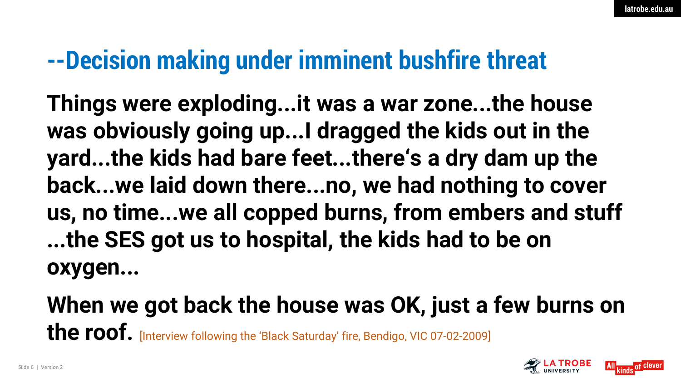## **--Decision making under imminent bushfire threat**

**Things were exploding...it was a war zone...the house was obviously going up...I dragged the kids out in the yard...the kids had bare feet...there's a dry dam up the back...we laid down there...no, we had nothing to cover us, no time...we all copped burns, from embers and stuff ...the SES got us to hospital, the kids had to be on oxygen...** 

**When we got back the house was OK, just a few burns on the roof.** [Interview following the 'Black Saturday' fire, Bendigo, VIC 07-02-2009]

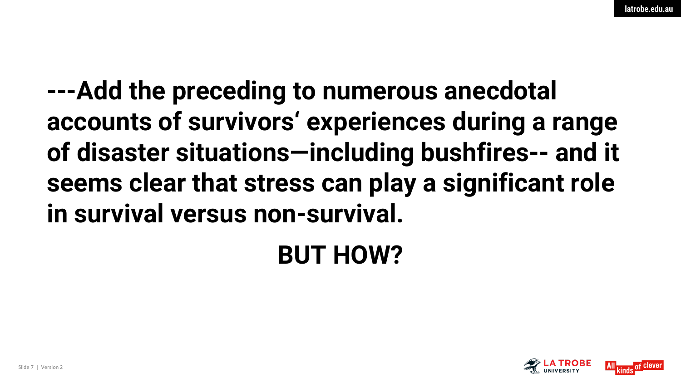**---Add the preceding to numerous anecdotal accounts of survivors' experiences during a range of disaster situations—including bushfires-- and it seems clear that stress can play a significant role in survival versus non-survival.** 

**BUT HOW?**

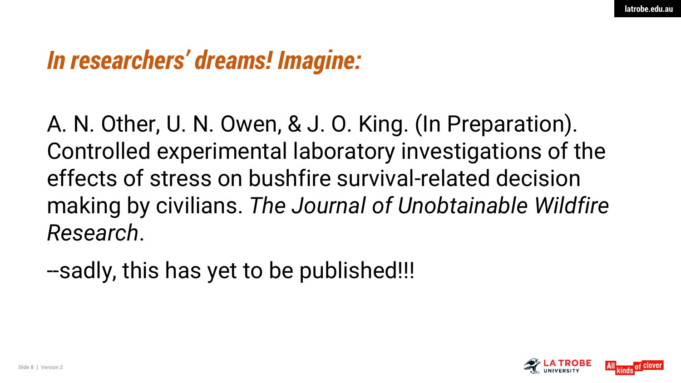### *In researchers' dreams! Imagine:*

A. N. Other, U. N. Owen, & J. O. King. (In Preparation). Controlled experimental laboratory investigations of the effects of stress on bushfire survival-related decision making by civilians. *The Journal of Unobtainable Wildfire Research*.

--sadly, this has yet to be published!!!

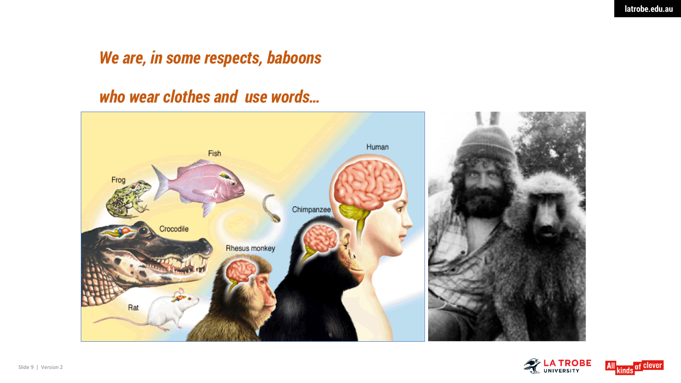#### *We are, in some respects, baboons*

#### *who wear clothes and use words…*





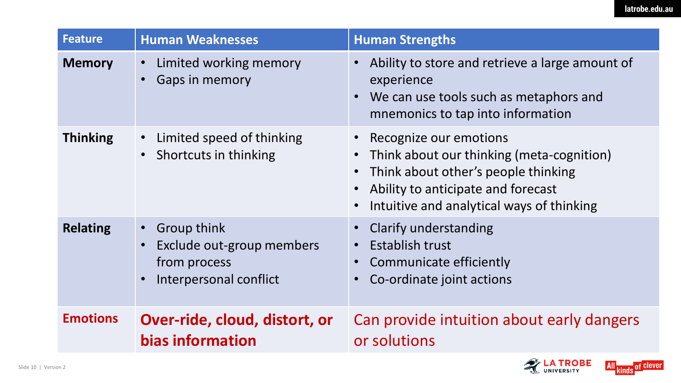| <b>Feature</b>  | <b>Human Weaknesses</b>                                                                           | <b>Human Strengths</b>                                                                                                                                                                                                                            |
|-----------------|---------------------------------------------------------------------------------------------------|---------------------------------------------------------------------------------------------------------------------------------------------------------------------------------------------------------------------------------------------------|
| <b>Memory</b>   | Limited working memory<br>$\bullet$<br><b>Gaps in memory</b>                                      | Ability to store and retrieve a large amount of<br>$\bullet$<br>experience<br>We can use tools such as metaphors and<br>mnemonics to tap into information                                                                                         |
| <b>Thinking</b> | Limited speed of thinking<br>Shortcuts in thinking                                                | Recognize our emotions<br>Think about our thinking (meta-cognition)<br>$\bullet$<br>Think about other's people thinking<br>$\bullet$<br>Ability to anticipate and forecast<br>$\bullet$<br>Intuitive and analytical ways of thinking<br>$\bullet$ |
| <b>Relating</b> | Group think<br>$\bullet$ .<br>Exclude out-group members<br>from process<br>Interpersonal conflict | <b>Clarify understanding</b><br>$\bullet$<br><b>Establish trust</b><br>$\bullet$<br>Communicate efficiently<br>Co-ordinate joint actions                                                                                                          |
| <b>Emotions</b> | Over-ride, cloud, distort, or<br>bias information                                                 | Can provide intuition about early dangers<br>or solutions                                                                                                                                                                                         |

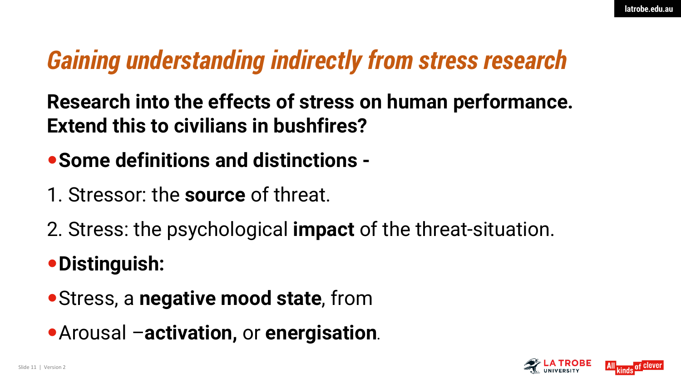## *Gaining understanding indirectly from stress research*

**Research into the effects of stress on human performance. Extend this to civilians in bushfires?** 

**Some definitions and distinctions -**

- 1. Stressor: the **source** of threat.
- 2. Stress: the psychological **impact** of the threat-situation.

#### **Distinguish:**

- Stress, a **negative mood state**, from
- Arousal –**activation,** or **energisation.**

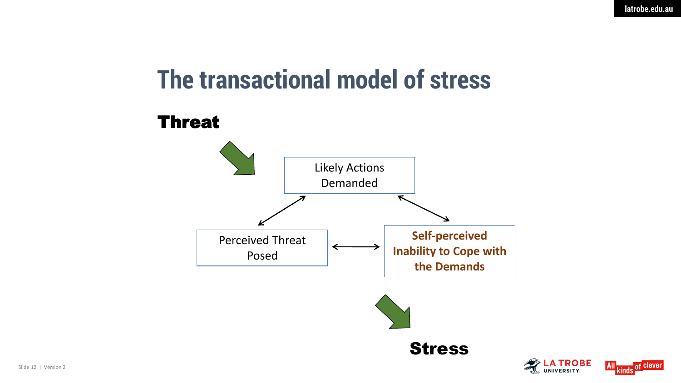## **The transactional model of stress**



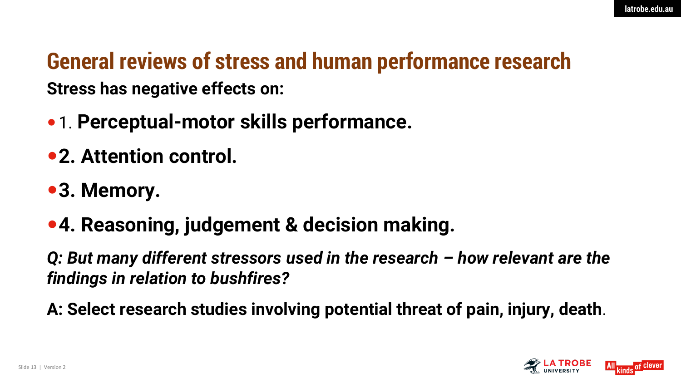#### **Stress has negative effects on: General reviews of stress and human performance research**

- 1. **Perceptual-motor skills performance.**
- **2. Attention control.**
- **3. Memory.**
- **4. Reasoning, judgement & decision making.**

*Q: But many different stressors used in the research – how relevant are the findings in relation to bushfires?* 

**A: Select research studies involving potential threat of pain, injury, death.**

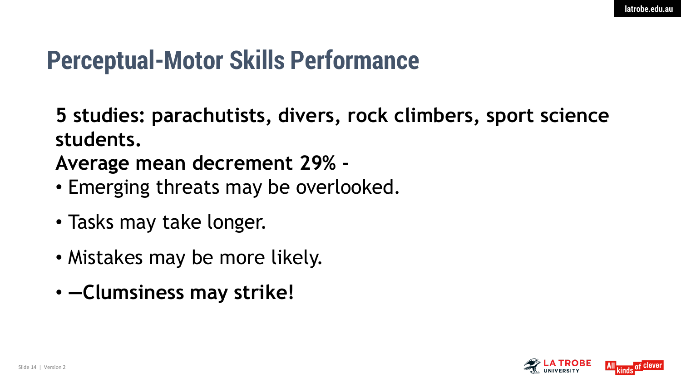### **Perceptual-Motor Skills Performance**

**5 studies: parachutists, divers, rock climbers, sport science students.** 

#### **Average mean decrement 29% -**

- Emerging threats may be overlooked.
- Tasks may take longer.
- Mistakes may be more likely.
- **―Clumsiness may strike!**

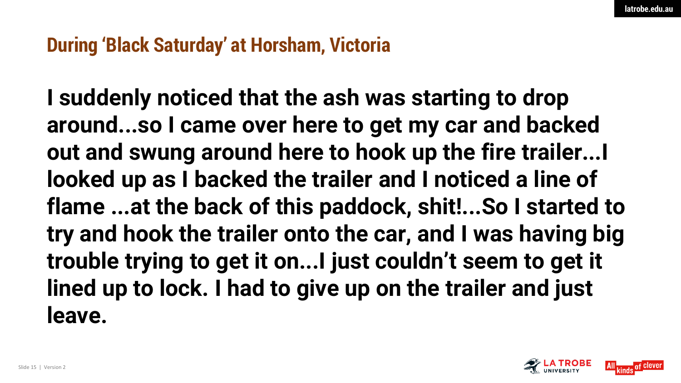#### **During 'Black Saturday' at Horsham, Victoria**

**I suddenly noticed that the ash was starting to drop around...so I came over here to get my car and backed out and swung around here to hook up the fire trailer...I looked up as I backed the trailer and I noticed a line of flame ...at the back of this paddock, shit!...So I started to try and hook the trailer onto the car, and I was having big trouble trying to get it on...I just couldn't seem to get it lined up to lock. I had to give up on the trailer and just leave.** 

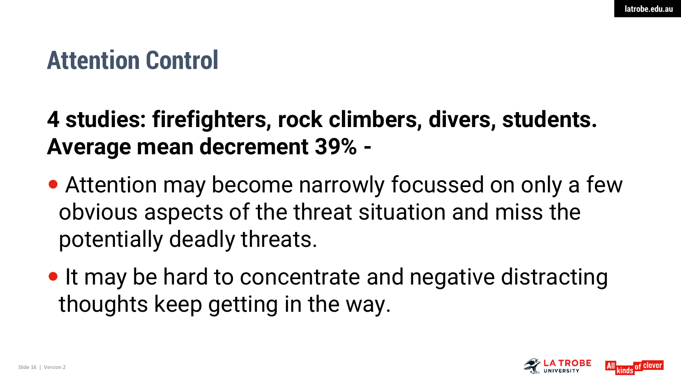## **Attention Control**

#### **4 studies: firefighters, rock climbers, divers, students. Average mean decrement 39% -**

- Attention may become narrowly focussed on only a few obvious aspects of the threat situation and miss the potentially deadly threats.
- It may be hard to concentrate and negative distracting thoughts keep getting in the way.

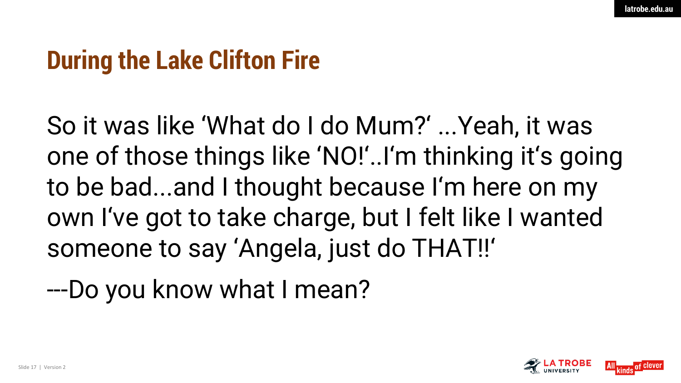## **During the Lake Clifton Fire**

So it was like 'What do I do Mum?' ...Yeah, it was one of those things like 'NO!'..I'm thinking it's going to be bad...and I thought because I'm here on my own I've got to take charge, but I felt like I wanted someone to say 'Angela, just do THAT!!'

---Do you know what I mean?

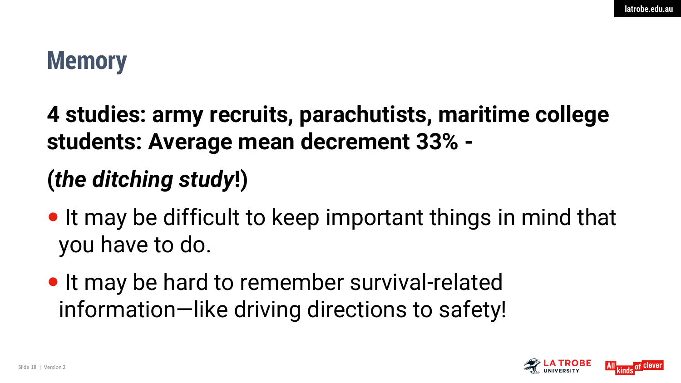## **Memory**

**4 studies: army recruits, parachutists, maritime college students: Average mean decrement 33% -**

### **(***the ditching study***!)**

- It may be difficult to keep important things in mind that you have to do.
- It may be hard to remember survival-related information—like driving directions to safety!

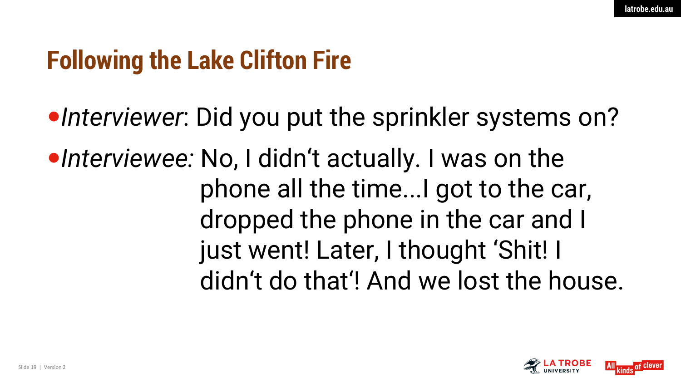## **Following the Lake Clifton Fire**

•Interviewer: Did you put the sprinkler systems on? •Interviewee: No, I didn't actually. I was on the phone all the time...I got to the car, dropped the phone in the car and I just went! Later, I thought 'Shit! I didn't do that'! And we lost the house.

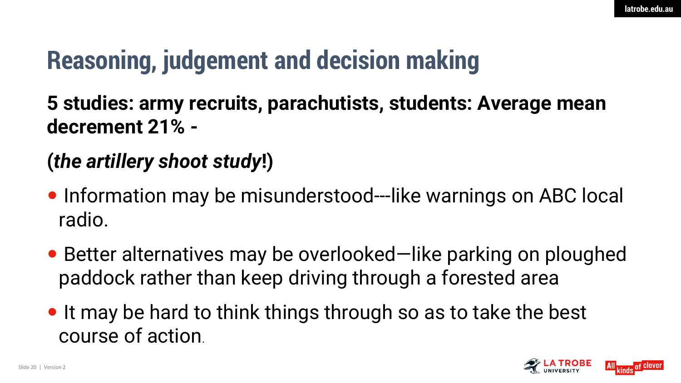## **Reasoning, judgement and decision making**

**5 studies: army recruits, parachutists, students: Average mean decrement 21% -**

#### **(***the artillery shoot study***!)**

- Information may be misunderstood---like warnings on ABC local radio.
- Better alternatives may be overlooked—like parking on ploughed paddock rather than keep driving through a forested area
- It may be hard to think things through so as to take the best course of action.

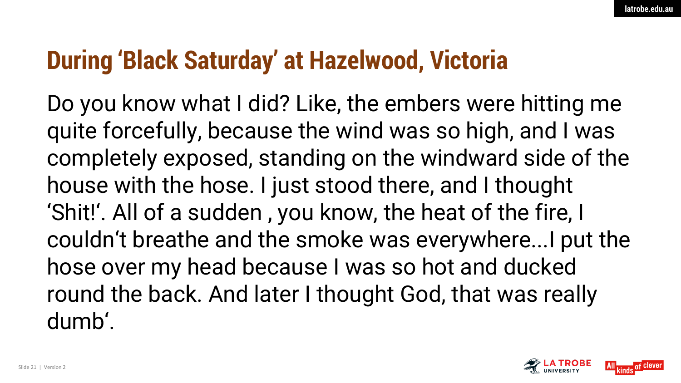## **During 'Black Saturday' at Hazelwood, Victoria**

Do you know what I did? Like, the embers were hitting me quite forcefully, because the wind was so high, and I was completely exposed, standing on the windward side of the house with the hose. I just stood there, and I thought 'Shit!'. All of a sudden , you know, the heat of the fire, I couldn't breathe and the smoke was everywhere...I put the hose over my head because I was so hot and ducked round the back. And later I thought God, that was really dumb'.

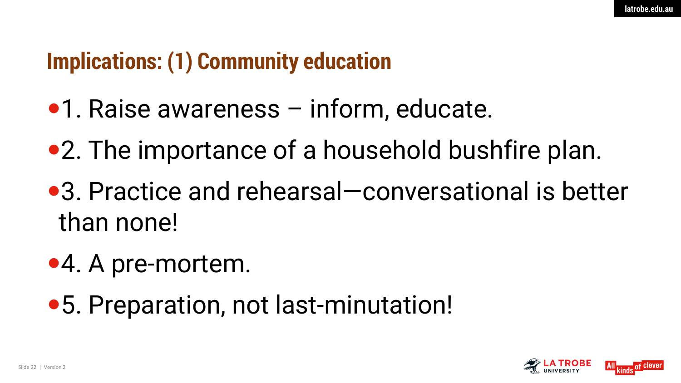#### **Implications: (1) Community education**

- •1. Raise awareness inform, educate.
- 2. The importance of a household bushfire plan.
- 3. Practice and rehearsal—conversational is better than none!
- 4. A pre-mortem.
- 5. Preparation, not last-minutation!

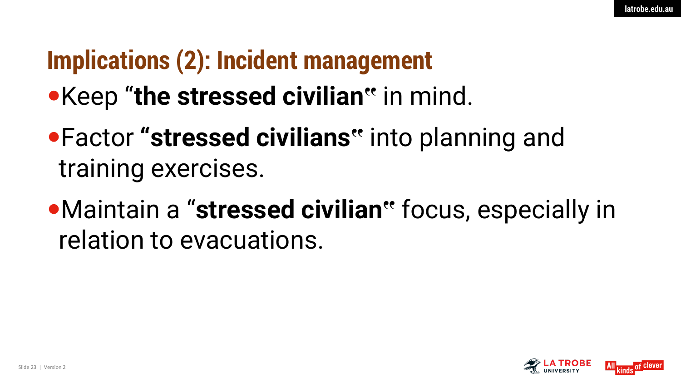## **Implications (2): Incident management**

## Keep "**the stressed civilian"** in mind.

- Factor **"stressed civilians"** into planning and training exercises.
- Maintain a "**stressed civilian"** focus, especially in relation to evacuations.

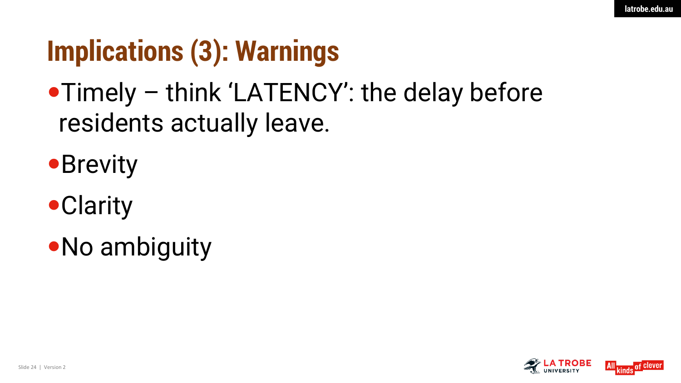## **Implications (3): Warnings**

## Timely – think 'LATENCY': the delay before residents actually leave.

- **Brevity**
- **•Clarity**
- No ambiguity